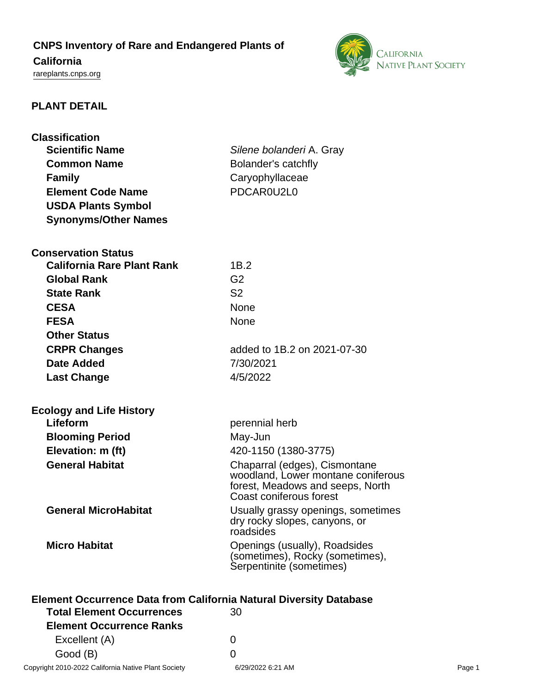# **CNPS Inventory of Rare and Endangered Plants of California**

# <rareplants.cnps.org>



# **PLANT DETAIL**

| <b>Classification</b>                                                                                         |                                                                     |  |
|---------------------------------------------------------------------------------------------------------------|---------------------------------------------------------------------|--|
| <b>Scientific Name</b>                                                                                        | Silene bolanderi A. Gray                                            |  |
| <b>Common Name</b>                                                                                            | Bolander's catchfly                                                 |  |
| <b>Family</b>                                                                                                 | Caryophyllaceae                                                     |  |
| <b>Element Code Name</b>                                                                                      | PDCAR0U2L0                                                          |  |
| <b>USDA Plants Symbol</b>                                                                                     |                                                                     |  |
| <b>Synonyms/Other Names</b>                                                                                   |                                                                     |  |
|                                                                                                               |                                                                     |  |
| <b>Conservation Status</b>                                                                                    |                                                                     |  |
| <b>California Rare Plant Rank</b>                                                                             | 1B.2                                                                |  |
| <b>Global Rank</b>                                                                                            | G <sub>2</sub>                                                      |  |
| <b>State Rank</b>                                                                                             | S <sub>2</sub>                                                      |  |
| <b>CESA</b>                                                                                                   | <b>None</b>                                                         |  |
| <b>FESA</b>                                                                                                   | <b>None</b>                                                         |  |
| <b>Other Status</b>                                                                                           |                                                                     |  |
| <b>CRPR Changes</b>                                                                                           | added to 1B.2 on 2021-07-30                                         |  |
| Date Added                                                                                                    | 7/30/2021                                                           |  |
| <b>Last Change</b>                                                                                            | 4/5/2022                                                            |  |
|                                                                                                               |                                                                     |  |
| <b>Ecology and Life History</b>                                                                               |                                                                     |  |
| Lifeform                                                                                                      | perennial herb                                                      |  |
| <b>Blooming Period</b>                                                                                        | May-Jun                                                             |  |
| Elevation: m (ft)                                                                                             | 420-1150 (1380-3775)                                                |  |
| <b>General Habitat</b>                                                                                        | Chaparral (edges), Cismontane                                       |  |
|                                                                                                               | woodland, Lower montane coniferous                                  |  |
|                                                                                                               | forest, Meadows and seeps, North<br>Coast coniferous forest         |  |
| <b>General MicroHabitat</b>                                                                                   |                                                                     |  |
|                                                                                                               | Usually grassy openings, sometimes<br>dry rocky slopes, canyons, or |  |
|                                                                                                               | roadsides                                                           |  |
| <b>Micro Habitat</b>                                                                                          | Openings (usually), Roadsides                                       |  |
|                                                                                                               | (sometimes), Rocky (sometimes),<br>Serpentinite (sometimes)         |  |
|                                                                                                               |                                                                     |  |
|                                                                                                               |                                                                     |  |
| <b>Element Occurrence Data from California Natural Diversity Database</b><br><b>Total Element Occurrences</b> | 30                                                                  |  |
|                                                                                                               |                                                                     |  |
| <b>Element Occurrence Ranks</b>                                                                               |                                                                     |  |
| Excellent (A)                                                                                                 | 0                                                                   |  |

Good (B) and the control of the control of the control of the control of the control of the control of the control of the control of the control of the control of the control of the control of the control of the control of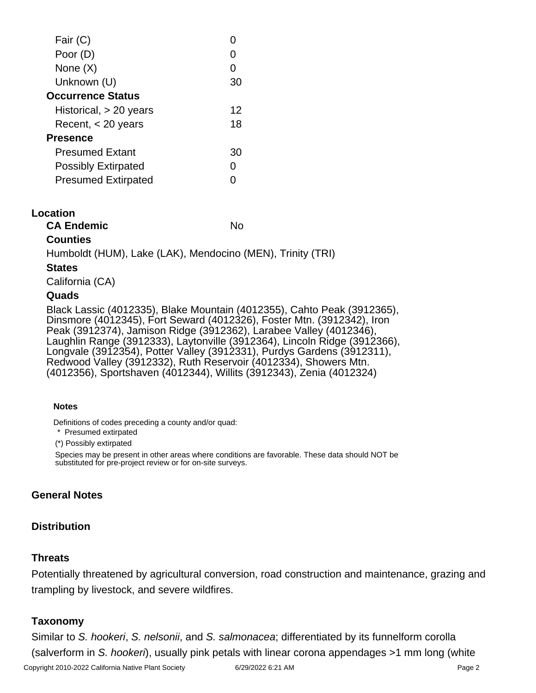| Fair (C)                   |    |
|----------------------------|----|
| Poor (D)                   |    |
| None $(X)$                 |    |
| Unknown (U)                | 30 |
| <b>Occurrence Status</b>   |    |
| Historical, $> 20$ years   | 12 |
| Recent, $<$ 20 years       | 18 |
| <b>Presence</b>            |    |
| <b>Presumed Extant</b>     | 30 |
| <b>Possibly Extirpated</b> |    |
| <b>Presumed Extirpated</b> |    |
|                            |    |

#### **Location**

**CA Endemic** No. No.

### **Counties**

Humboldt (HUM), Lake (LAK), Mendocino (MEN), Trinity (TRI)

### **States**

California (CA)

#### **Quads**

Black Lassic (4012335), Blake Mountain (4012355), Cahto Peak (3912365), Dinsmore (4012345), Fort Seward (4012326), Foster Mtn. (3912342), Iron Peak (3912374), Jamison Ridge (3912362), Larabee Valley (4012346), Laughlin Range (3912333), Laytonville (3912364), Lincoln Ridge (3912366), Longvale (3912354), Potter Valley (3912331), Purdys Gardens (3912311), Redwood Valley (3912332), Ruth Reservoir (4012334), Showers Mtn. (4012356), Sportshaven (4012344), Willits (3912343), Zenia (4012324)

#### **Notes**

Definitions of codes preceding a county and/or quad:

\* Presumed extirpated

(\*) Possibly extirpated

Species may be present in other areas where conditions are favorable. These data should NOT be substituted for pre-project review or for on-site surveys.

# **General Notes**

# **Distribution**

# **Threats**

Potentially threatened by agricultural conversion, road construction and maintenance, grazing and trampling by livestock, and severe wildfires.

# **Taxonomy**

Similar to S. hookeri, S. nelsonii, and S. salmonacea; differentiated by its funnelform corolla (salverform in S. hookeri), usually pink petals with linear corona appendages >1 mm long (white